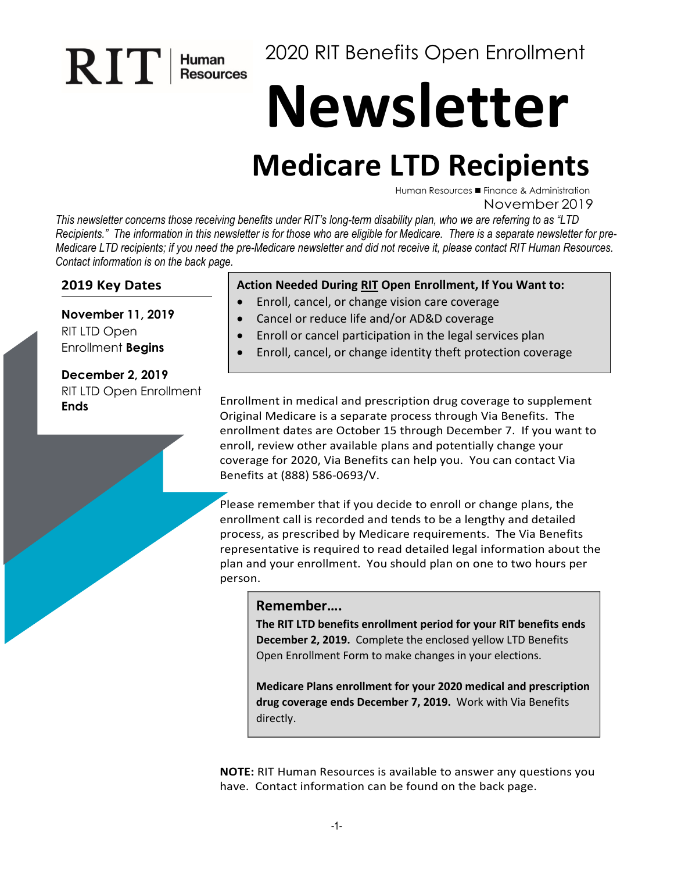# 2020 RIT Benefits Open Enrollment

# **Newsletter**

# **Medicare LTD Recipients**

Human Resources ■ Finance & Administration November 2019

*This newsletter concerns those receiving benefits under RIT's long-term disability plan, who we are referring to as "LTD Recipients." The information in this newsletter is for those who are eligible for Medicare. There is a separate newsletter for pre-Medicare LTD recipients; if you need the pre-Medicare newsletter and did not receive it, please contact RIT Human Resources. Contact information is on the back page.* 

#### **2019 Key Dates**

RIT

Human<br>Resources

**November 11, 2019**  RIT LTD Open Enrollment **Begins**

**December 2, 2019** RIT LTD Open Enrollment

#### **Action Needed During RIT Open Enrollment, If You Want to:**

- Enroll, cancel, or change vision care coverage
- Cancel or reduce life and/or AD&D coverage
- Enroll or cancel participation in the legal services plan
- Enroll, cancel, or change identity theft protection coverage

**Ends** Enrollment in medical and prescription drug coverage to supplement Original Medicare is a separate process through Via Benefits. The enrollment dates are October 15 through December 7. If you want to enroll, review other available plans and potentially change your coverage for 2020, Via Benefits can help you. You can contact Via Benefits at (888) 586-0693/V.

> Please remember that if you decide to enroll or change plans, the enrollment call is recorded and tends to be a lengthy and detailed process, as prescribed by Medicare requirements. The Via Benefits representative is required to read detailed legal information about the plan and your enrollment. You should plan on one to two hours per person.

#### **Remember….**

**The RIT LTD benefits enrollment period for your RIT benefits ends December 2, 2019.** Complete the enclosed yellow LTD Benefits Open Enrollment Form to make changes in your elections.

**Medicare Plans enrollment for your 2020 medical and prescription drug coverage ends December 7, 2019.** Work with Via Benefits directly.

**NOTE:** RIT Human Resources is available to answer any questions you have. Contact information can be found on the back page.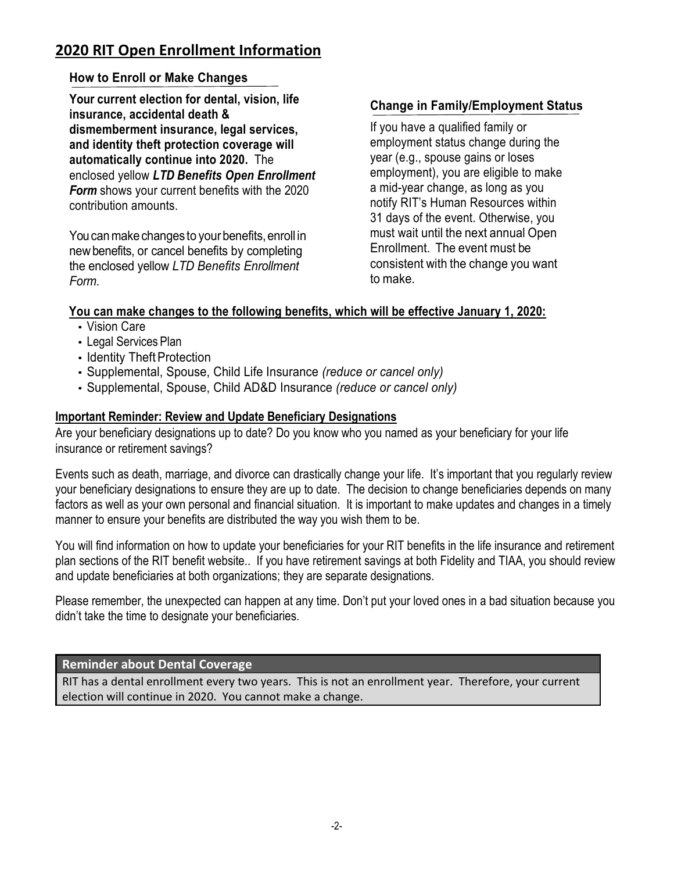## **2020 RIT Open Enrollment Information**

#### **How to Enroll or Make Changes**

**Your current election for dental, vision, life insurance, accidental death & dismemberment insurance, legal services, and identity theft protection coverage will automatically continue into 2020.** The enclosed yellow *LTD Benefits Open Enrollment Form* shows your current benefits with the 2020 contribution amounts.

You can make changes to your benefits, enroll in newbenefits, or cancel benefits by completing the enclosed yellow *LTD Benefits Enrollment Form*.

#### **Change in Family/Employment Status**

If you have a qualified family or employment status change during the year (e.g., spouse gains or loses employment), you are eligible to make a mid-year change, as long as you notify RIT's Human Resources within 31 days of the event. Otherwise, you must wait until the next annual Open Enrollment. The event must be consistent with the change you want to make.

#### **You can make changes to the following benefits, which will be effective January 1, 2020:**

- Vision Care
- Legal Services Plan
- Identity Theft Protection
- Supplemental, Spouse, Child Life Insurance *(reduce or cancel only)*
- Supplemental, Spouse, Child AD&D Insurance *(reduce or cancel only)*

#### **Important Reminder: Review and Update Beneficiary Designations**

Are your beneficiary designations up to date? Do you know who you named as your beneficiary for your life insurance or retirement savings?

Events such as death, marriage, and divorce can drastically change your life. It's important that you regularly review your beneficiary designations to ensure they are up to date. The decision to change beneficiaries depends on many factors as well as your own personal and financial situation. It is important to make updates and changes in a timely manner to ensure your benefits are distributed the way you wish them to be.

You will find information on how to update your beneficiaries for your RIT benefits in the life insurance and retirement plan sections of the RIT benefit website.. If you have retirement savings at both Fidelity and TIAA, you should review and update beneficiaries at both organizations; they are separate designations.

Please remember, the unexpected can happen at any time. Don't put your loved ones in a bad situation because you didn't take the time to designate your beneficiaries.

#### **Reminder about Dental Coverage**

RIT has a dental enrollment every two years. This is not an enrollment year. Therefore, your current election will continue in 2020. You cannot make a change.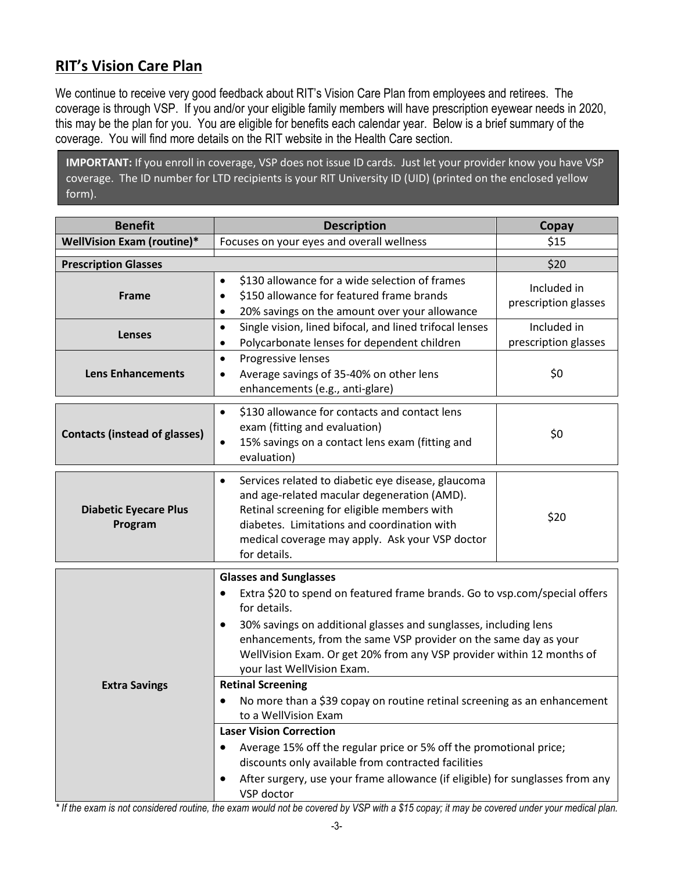# **RIT's Vision Care Plan**

We continue to receive very good feedback about RIT's Vision Care Plan from employees and retirees. The coverage is through VSP. If you and/or your eligible family members will have prescription eyewear needs in 2020, this may be the plan for you. You are eligible for benefits each calendar year. Below is a brief summary of the coverage. You will find more details on the RIT website in the Health Care section.

**IMPORTANT:** If you enroll in coverage, VSP does not issue ID cards. Just let your provider know you have VSP coverage. The ID number for LTD recipients is your RIT University ID (UID) (printed on the enclosed yellow form).

| <b>Benefit</b>                          | <b>Description</b>                                                                                                                                                                                                                                                                                                                                                                                                                                                                                                                                                                                                                        | Copay                               |  |  |
|-----------------------------------------|-------------------------------------------------------------------------------------------------------------------------------------------------------------------------------------------------------------------------------------------------------------------------------------------------------------------------------------------------------------------------------------------------------------------------------------------------------------------------------------------------------------------------------------------------------------------------------------------------------------------------------------------|-------------------------------------|--|--|
| <b>WellVision Exam (routine)*</b>       | Focuses on your eyes and overall wellness                                                                                                                                                                                                                                                                                                                                                                                                                                                                                                                                                                                                 | \$15                                |  |  |
| <b>Prescription Glasses</b>             |                                                                                                                                                                                                                                                                                                                                                                                                                                                                                                                                                                                                                                           | \$20                                |  |  |
| Frame                                   | \$130 allowance for a wide selection of frames<br>$\bullet$<br>\$150 allowance for featured frame brands<br>٠<br>20% savings on the amount over your allowance<br>٠                                                                                                                                                                                                                                                                                                                                                                                                                                                                       | Included in<br>prescription glasses |  |  |
| <b>Lenses</b>                           | Single vision, lined bifocal, and lined trifocal lenses<br>$\bullet$<br>Polycarbonate lenses for dependent children<br>٠                                                                                                                                                                                                                                                                                                                                                                                                                                                                                                                  | Included in<br>prescription glasses |  |  |
| <b>Lens Enhancements</b>                | Progressive lenses<br>$\bullet$<br>Average savings of 35-40% on other lens<br>٠<br>enhancements (e.g., anti-glare)                                                                                                                                                                                                                                                                                                                                                                                                                                                                                                                        | \$0                                 |  |  |
| <b>Contacts (instead of glasses)</b>    | \$130 allowance for contacts and contact lens<br>$\bullet$<br>exam (fitting and evaluation)<br>15% savings on a contact lens exam (fitting and<br>$\bullet$<br>evaluation)                                                                                                                                                                                                                                                                                                                                                                                                                                                                | \$0                                 |  |  |
| <b>Diabetic Eyecare Plus</b><br>Program | Services related to diabetic eye disease, glaucoma<br>$\bullet$<br>and age-related macular degeneration (AMD).<br>Retinal screening for eligible members with<br>diabetes. Limitations and coordination with<br>medical coverage may apply. Ask your VSP doctor<br>for details.                                                                                                                                                                                                                                                                                                                                                           | \$20                                |  |  |
| <b>Extra Savings</b>                    | <b>Glasses and Sunglasses</b><br>Extra \$20 to spend on featured frame brands. Go to vsp.com/special offers<br>$\bullet$<br>for details.<br>30% savings on additional glasses and sunglasses, including lens<br>٠<br>enhancements, from the same VSP provider on the same day as your<br>WellVision Exam. Or get 20% from any VSP provider within 12 months of<br>your last WellVision Exam.<br><b>Retinal Screening</b><br>No more than a \$39 copay on routine retinal screening as an enhancement<br>٠<br>to a WellVision Exam<br><b>Laser Vision Correction</b><br>Average 15% off the regular price or 5% off the promotional price; |                                     |  |  |
|                                         | discounts only available from contracted facilities<br>After surgery, use your frame allowance (if eligible) for sunglasses from any<br>٠<br>VSP doctor                                                                                                                                                                                                                                                                                                                                                                                                                                                                                   |                                     |  |  |

*\* If the exam is not considered routine, the exam would not be covered by VSP with a \$15 copay; it may be covered under your medical plan.*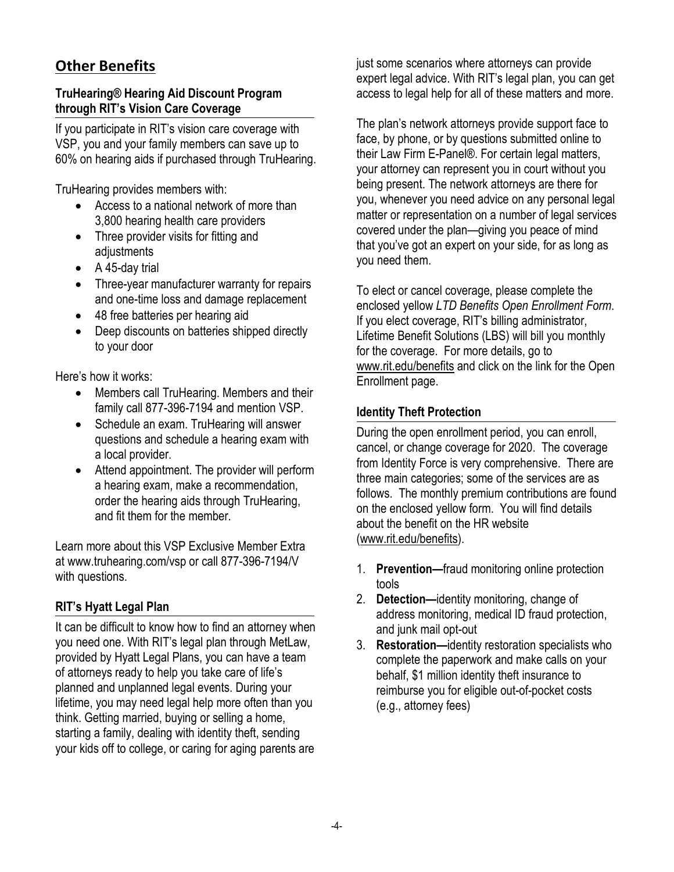# **Other Benefits**

#### **TruHearing® Hearing Aid Discount Program through RIT's Vision Care Coverage**

If you participate in RIT's vision care coverage with VSP, you and your family members can save up to 60% on hearing aids if purchased through TruHearing.

TruHearing provides members with:

- Access to a national network of more than 3,800 hearing health care providers
- Three provider visits for fitting and adjustments
- A 45-day trial
- Three-year manufacturer warranty for repairs and one-time loss and damage replacement
- 48 free batteries per hearing aid
- Deep discounts on batteries shipped directly to your door

Here's how it works:

- Members call TruHearing. Members and their family call 877-396-7194 and mention VSP.
- Schedule an exam. TruHearing will answer questions and schedule a hearing exam with a local provider.
- Attend appointment. The provider will perform a hearing exam, make a recommendation, order the hearing aids through TruHearing, and fit them for the member.

Learn more about this VSP Exclusive Member Extra at [www.truhearing.com/vsp o](http://www.truhearing.com/vsp)r call 877-396-7194/V with questions.

#### **RIT's Hyatt Legal Plan**

It can be difficult to know how to find an attorney when you need one. With RIT's legal plan through MetLaw, provided by Hyatt Legal Plans, you can have a team of attorneys ready to help you take care of life's planned and unplanned legal events. During your lifetime, you may need legal help more often than you think. Getting married, buying or selling a home, starting a family, dealing with identity theft, sending your kids off to college, or caring for aging parents are

just some scenarios where attorneys can provide expert legal advice. With RIT's legal plan, you can get access to legal help for all of these matters and more.

The plan's network attorneys provide support face to face, by phone, or by questions submitted online to their Law Firm E-Panel®. For certain legal matters, your attorney can represent you in court without you being present. The network attorneys are there for you, whenever you need advice on any personal legal matter or representation on a number of legal services covered under the plan—giving you peace of mind that you've got an expert on your side, for as long as you need them.

To elect or cancel coverage, please complete the enclosed yellow *LTD Benefits Open Enrollment Form*. If you elect coverage, RIT's billing administrator, Lifetime Benefit Solutions (LBS) will bill you monthly for the coverage. For more details, go to [www.rit.edu/benefits](http://www.rit.edu/benefits) and click on the link for the Open Enrollment page.

#### **Identity Theft Protection**

During the open enrollment period, you can enroll, cancel, or change coverage for 2020. The coverage from Identity Force is very comprehensive. There are three main categories; some of the services are as follows. The monthly premium contributions are found on the enclosed yellow form. You will find details about the benefit on the HR website [\(www.rit.edu/benefits\)](http://www.rit.edu/benefits).

- 1. **Prevention—**fraud monitoring online protection tools
- 2. **Detection—**identity monitoring, change of address monitoring, medical ID fraud protection, and junk mail opt-out
- 3. **Restoration—**identity restoration specialists who complete the paperwork and make calls on your behalf, \$1 million identity theft insurance to reimburse you for eligible out-of-pocket costs (e.g., attorney fees)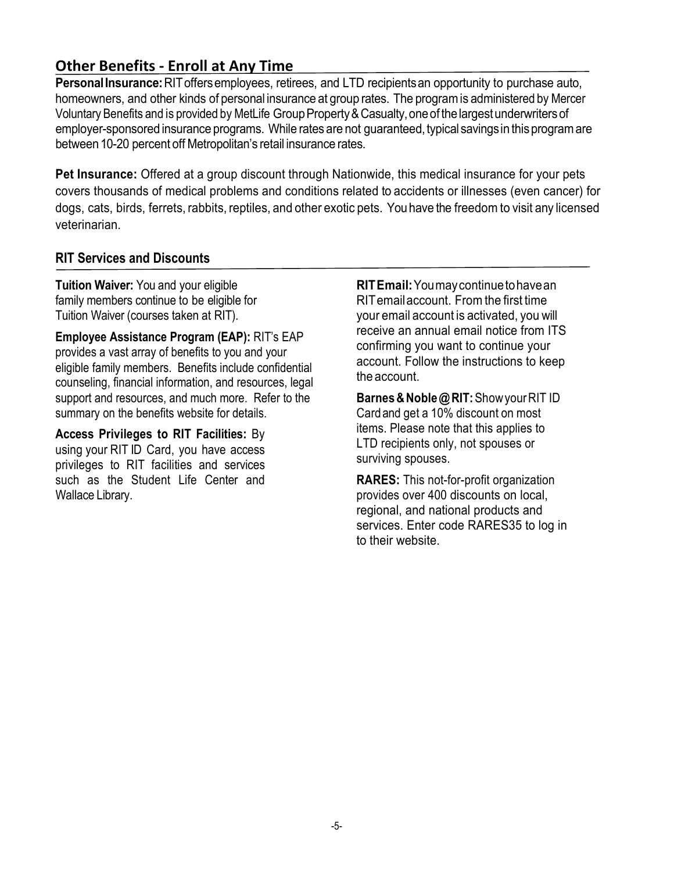### **Other Benefits - Enroll at Any Time**

**PersonalInsurance:**RIToffersemployees, retirees, and LTD recipientsan opportunity to purchase auto, homeowners, and other kinds of personal insurance at group rates. The programis administered by Mercer Voluntary Benefits and is provided by MetLife Group Property & Casualty, one of the largest underwriters of employer-sponsored insurance programs. While rates are not guaranteed, typical savings in this program are between 10-20 percent off Metropolitan's retail insurance rates.

**Pet Insurance:** Offered at a group discount through Nationwide, this medical insurance for your pets covers thousands of medical problems and conditions related to accidents or illnesses (even cancer) for dogs, cats, birds, ferrets, rabbits, reptiles, and other exotic pets. You have the freedomto visit any licensed veterinarian.

#### **RIT Services and Discounts**

**Tuition Waiver:** You and your eligible family members continue to be eligible for Tuition Waiver (courses taken at RIT).

**Employee Assistance Program (EAP):** RIT's EAP provides a vast array of benefits to you and your eligible family members. Benefits include confidential counseling, financial information, and resources, legal support and resources, and much more. Refer to the summary on the benefits website for details.

**Access Privileges to RIT Facilities:** By using your RIT ID Card, you have access privileges to RIT facilities and services such as the Student Life Center and Wallace Library.

**RITEmail:**Youmaycontinuetohavean RITemailaccount. Fromthe first time your email account is activated, you will receive an annual email notice from ITS confirming you want to continue your account. Follow the instructions to keep the account.

**Barnes&Noble@RIT:**ShowyourRIT ID Cardand get a 10% discount on most items. Please note that this applies to LTD recipients only, not spouses or surviving spouses.

**RARES:** This not-for-profit organization provides over 400 discounts on local, regional, and national products and services. Enter code RARES35 to log in to their website.